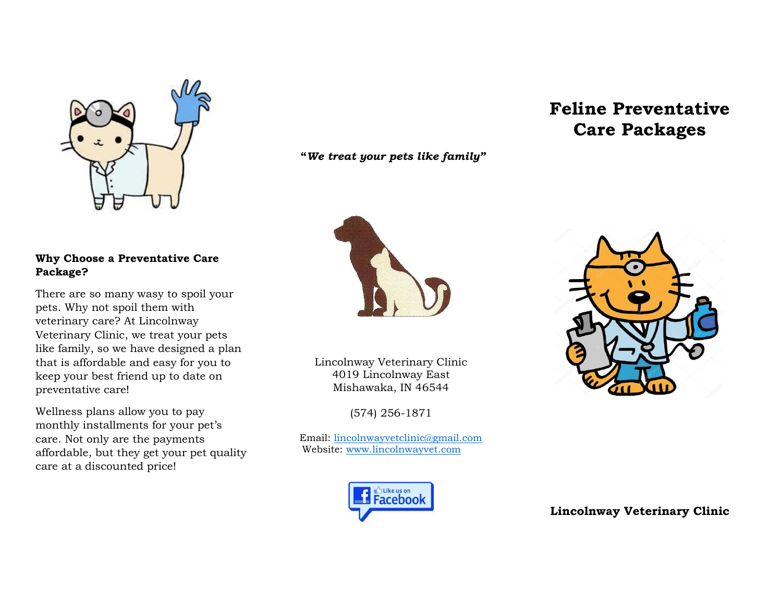

## **Why Choose a Preventative Care Package?**

There are so many wasy to spoil your pets. Why not spoil them with veterinary care? At Lincolnway Veterinary Clinic, we treat your pets like family, so we have designed a plan that is affordable and easy for you to keep your best friend up to date on preventative care!

Wellness plans allow you to pay monthly installments for your pet's care. Not only are the payments affordable, but they get your pet quality care at a discounted price!

**"***We treat your pets like family"*



Lincolnway Veterinary Clinic 4019 Lincolnway East Mishawaka, IN 46544

(574) 256-1871

Email: [lincolnwayvetclinic@gmail.com](mailto:lincolnwayvetclinic@gmail.com) Website: [www.lincolnwayvet.com](http://www.lincolnwayvet.com/)



## **Feline Preventative Care Packages**



**Lincolnway Veterinary Clinic**